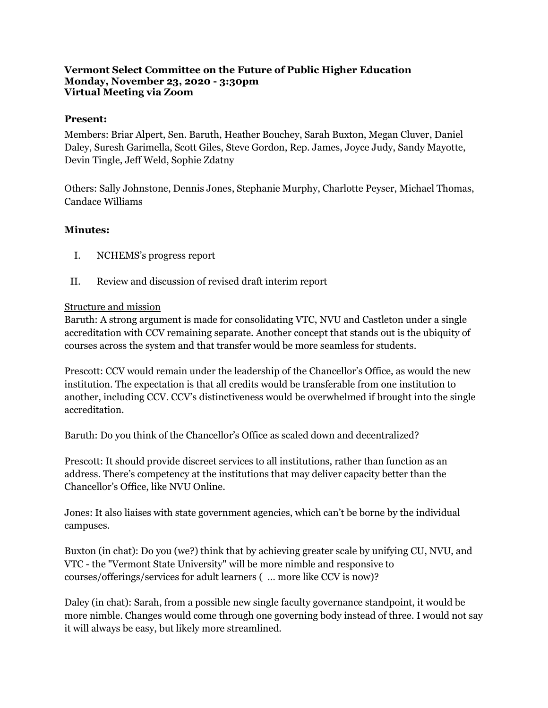#### **Vermont Select Committee on the Future of Public Higher Education Monday, November 23, 2020 - 3:30pm Virtual Meeting via Zoom**

### **Present:**

Members: Briar Alpert, Sen. Baruth, Heather Bouchey, Sarah Buxton, Megan Cluver, Daniel Daley, Suresh Garimella, Scott Giles, Steve Gordon, Rep. James, Joyce Judy, Sandy Mayotte, Devin Tingle, Jeff Weld, Sophie Zdatny

Others: Sally Johnstone, Dennis Jones, Stephanie Murphy, Charlotte Peyser, Michael Thomas, Candace Williams

## **Minutes:**

- I. NCHEMS's progress report
- II. Review and discussion of revised draft interim report

### Structure and mission

Baruth: A strong argument is made for consolidating VTC, NVU and Castleton under a single accreditation with CCV remaining separate. Another concept that stands out is the ubiquity of courses across the system and that transfer would be more seamless for students.

Prescott: CCV would remain under the leadership of the Chancellor's Office, as would the new institution. The expectation is that all credits would be transferable from one institution to another, including CCV. CCV's distinctiveness would be overwhelmed if brought into the single accreditation.

Baruth: Do you think of the Chancellor's Office as scaled down and decentralized?

Prescott: It should provide discreet services to all institutions, rather than function as an address. There's competency at the institutions that may deliver capacity better than the Chancellor's Office, like NVU Online.

Jones: It also liaises with state government agencies, which can't be borne by the individual campuses.

Buxton (in chat): Do you (we?) think that by achieving greater scale by unifying CU, NVU, and VTC - the "Vermont State University" will be more nimble and responsive to courses/offerings/services for adult learners ( … more like CCV is now)?

Daley (in chat): Sarah, from a possible new single faculty governance standpoint, it would be more nimble. Changes would come through one governing body instead of three. I would not say it will always be easy, but likely more streamlined.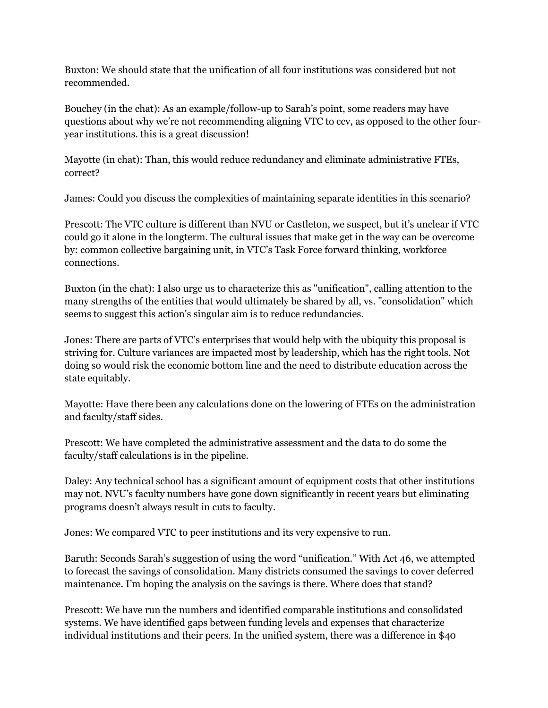Buxton: We should state that the unification of all four institutions was considered but not recommended.

Bouchey (in the chat): As an example/follow-up to Sarah's point, some readers may have questions about why we're not recommending aligning VTC to ccv, as opposed to the other fouryear institutions. this is a great discussion!

Mayotte (in chat): Than, this would reduce redundancy and eliminate administrative FTEs, correct?

James: Could you discuss the complexities of maintaining separate identities in this scenario?

Prescott: The VTC culture is different than NVU or Castleton, we suspect, but it's unclear if VTC could go it alone in the longterm. The cultural issues that make get in the way can be overcome by: common collective bargaining unit, in VTC's Task Force forward thinking, workforce connections.

Buxton (in the chat): I also urge us to characterize this as "unification", calling attention to the many strengths of the entities that would ultimately be shared by all, vs. "consolidation" which seems to suggest this action's singular aim is to reduce redundancies.

Jones: There are parts of VTC's enterprises that would help with the ubiquity this proposal is striving for. Culture variances are impacted most by leadership, which has the right tools. Not doing so would risk the economic bottom line and the need to distribute education across the state equitably.

Mayotte: Have there been any calculations done on the lowering of FTEs on the administration and faculty/staff sides.

Prescott: We have completed the administrative assessment and the data to do some the faculty/staff calculations is in the pipeline.

Daley: Any technical school has a significant amount of equipment costs that other institutions may not. NVU's faculty numbers have gone down significantly in recent years but eliminating programs doesn't always result in cuts to faculty.

Jones: We compared VTC to peer institutions and its very expensive to run.

Baruth: Seconds Sarah's suggestion of using the word "unification." With Act 46, we attempted to forecast the savings of consolidation. Many districts consumed the savings to cover deferred maintenance. I'm hoping the analysis on the savings is there. Where does that stand?

Prescott: We have run the numbers and identified comparable institutions and consolidated systems. We have identified gaps between funding levels and expenses that characterize individual institutions and their peers. In the unified system, there was a difference in \$40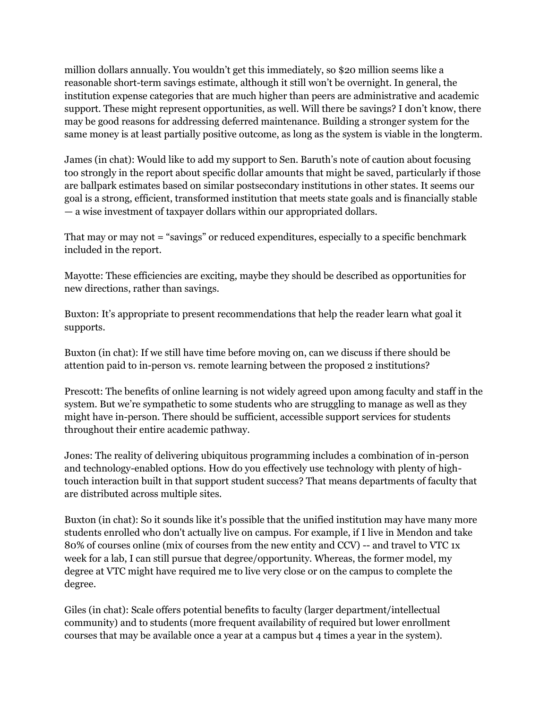million dollars annually. You wouldn't get this immediately, so \$20 million seems like a reasonable short-term savings estimate, although it still won't be overnight. In general, the institution expense categories that are much higher than peers are administrative and academic support. These might represent opportunities, as well. Will there be savings? I don't know, there may be good reasons for addressing deferred maintenance. Building a stronger system for the same money is at least partially positive outcome, as long as the system is viable in the longterm.

James (in chat): Would like to add my support to Sen. Baruth's note of caution about focusing too strongly in the report about specific dollar amounts that might be saved, particularly if those are ballpark estimates based on similar postsecondary institutions in other states. It seems our goal is a strong, efficient, transformed institution that meets state goals and is financially stable — a wise investment of taxpayer dollars within our appropriated dollars.

That may or may not = "savings" or reduced expenditures, especially to a specific benchmark included in the report.

Mayotte: These efficiencies are exciting, maybe they should be described as opportunities for new directions, rather than savings.

Buxton: It's appropriate to present recommendations that help the reader learn what goal it supports.

Buxton (in chat): If we still have time before moving on, can we discuss if there should be attention paid to in-person vs. remote learning between the proposed 2 institutions?

Prescott: The benefits of online learning is not widely agreed upon among faculty and staff in the system. But we're sympathetic to some students who are struggling to manage as well as they might have in-person. There should be sufficient, accessible support services for students throughout their entire academic pathway.

Jones: The reality of delivering ubiquitous programming includes a combination of in-person and technology-enabled options. How do you effectively use technology with plenty of hightouch interaction built in that support student success? That means departments of faculty that are distributed across multiple sites.

Buxton (in chat): So it sounds like it's possible that the unified institution may have many more students enrolled who don't actually live on campus. For example, if I live in Mendon and take 80% of courses online (mix of courses from the new entity and CCV) -- and travel to VTC 1x week for a lab, I can still pursue that degree/opportunity. Whereas, the former model, my degree at VTC might have required me to live very close or on the campus to complete the degree.

Giles (in chat): Scale offers potential benefits to faculty (larger department/intellectual community) and to students (more frequent availability of required but lower enrollment courses that may be available once a year at a campus but 4 times a year in the system).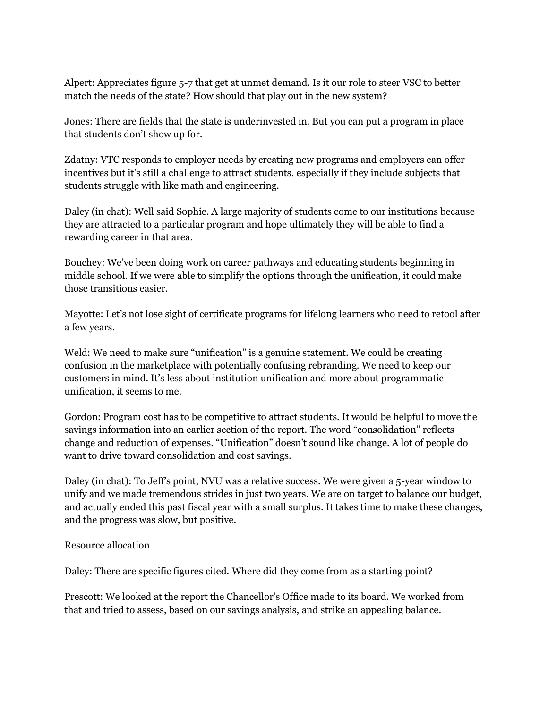Alpert: Appreciates figure 5-7 that get at unmet demand. Is it our role to steer VSC to better match the needs of the state? How should that play out in the new system?

Jones: There are fields that the state is underinvested in. But you can put a program in place that students don't show up for.

Zdatny: VTC responds to employer needs by creating new programs and employers can offer incentives but it's still a challenge to attract students, especially if they include subjects that students struggle with like math and engineering.

Daley (in chat): Well said Sophie. A large majority of students come to our institutions because they are attracted to a particular program and hope ultimately they will be able to find a rewarding career in that area.

Bouchey: We've been doing work on career pathways and educating students beginning in middle school. If we were able to simplify the options through the unification, it could make those transitions easier.

Mayotte: Let's not lose sight of certificate programs for lifelong learners who need to retool after a few years.

Weld: We need to make sure "unification" is a genuine statement. We could be creating confusion in the marketplace with potentially confusing rebranding. We need to keep our customers in mind. It's less about institution unification and more about programmatic unification, it seems to me.

Gordon: Program cost has to be competitive to attract students. It would be helpful to move the savings information into an earlier section of the report. The word "consolidation" reflects change and reduction of expenses. "Unification" doesn't sound like change. A lot of people do want to drive toward consolidation and cost savings.

Daley (in chat): To Jeff's point, NVU was a relative success. We were given a 5-year window to unify and we made tremendous strides in just two years. We are on target to balance our budget, and actually ended this past fiscal year with a small surplus. It takes time to make these changes, and the progress was slow, but positive.

### Resource allocation

Daley: There are specific figures cited. Where did they come from as a starting point?

Prescott: We looked at the report the Chancellor's Office made to its board. We worked from that and tried to assess, based on our savings analysis, and strike an appealing balance.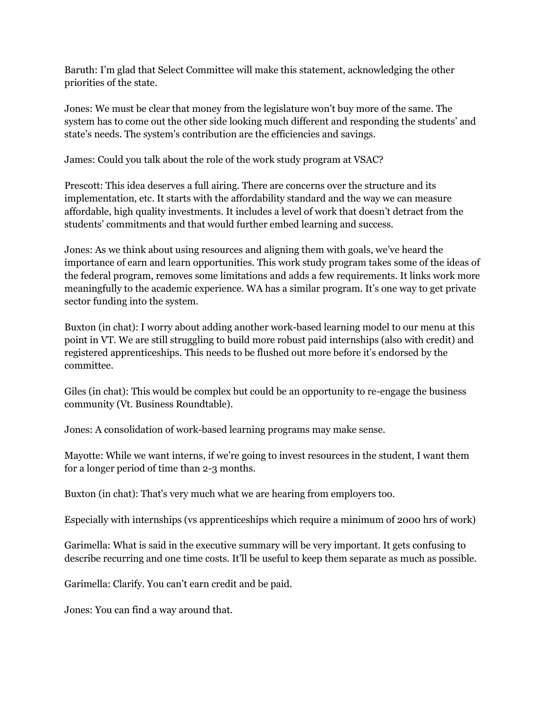Baruth: I'm glad that Select Committee will make this statement, acknowledging the other priorities of the state.

Jones: We must be clear that money from the legislature won't buy more of the same. The system has to come out the other side looking much different and responding the students' and state's needs. The system's contribution are the efficiencies and savings.

James: Could you talk about the role of the work study program at VSAC?

Prescott: This idea deserves a full airing. There are concerns over the structure and its implementation, etc. It starts with the affordability standard and the way we can measure affordable, high quality investments. It includes a level of work that doesn't detract from the students' commitments and that would further embed learning and success.

Jones: As we think about using resources and aligning them with goals, we've heard the importance of earn and learn opportunities. This work study program takes some of the ideas of the federal program, removes some limitations and adds a few requirements. It links work more meaningfully to the academic experience. WA has a similar program. It's one way to get private sector funding into the system.

Buxton (in chat): I worry about adding another work-based learning model to our menu at this point in VT. We are still struggling to build more robust paid internships (also with credit) and registered apprenticeships. This needs to be flushed out more before it's endorsed by the committee.

Giles (in chat): This would be complex but could be an opportunity to re-engage the business community (Vt. Business Roundtable).

Jones: A consolidation of work-based learning programs may make sense.

Mayotte: While we want interns, if we're going to invest resources in the student, I want them for a longer period of time than 2-3 months.

Buxton (in chat): That's very much what we are hearing from employers too.

Especially with internships (vs apprenticeships which require a minimum of 2000 hrs of work)

Garimella: What is said in the executive summary will be very important. It gets confusing to describe recurring and one time costs. It'll be useful to keep them separate as much as possible.

Garimella: Clarify. You can't earn credit and be paid.

Jones: You can find a way around that.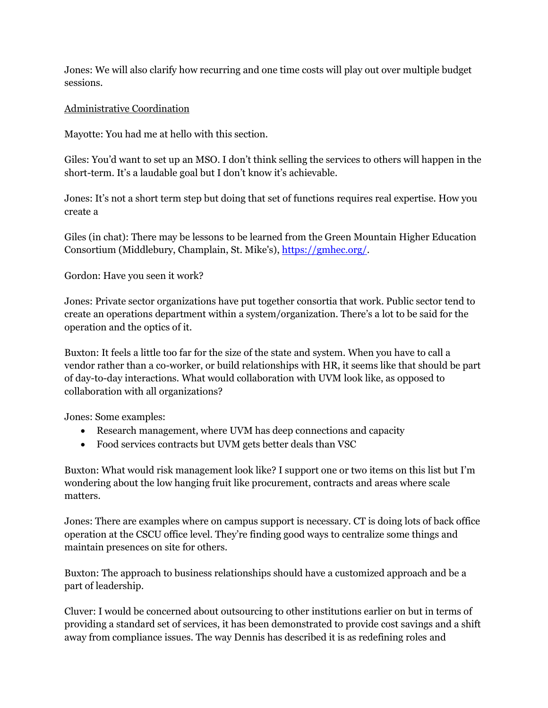Jones: We will also clarify how recurring and one time costs will play out over multiple budget sessions.

# Administrative Coordination

Mayotte: You had me at hello with this section.

Giles: You'd want to set up an MSO. I don't think selling the services to others will happen in the short-term. It's a laudable goal but I don't know it's achievable.

Jones: It's not a short term step but doing that set of functions requires real expertise. How you create a

Giles (in chat): There may be lessons to be learned from the Green Mountain Higher Education Consortium (Middlebury, Champlain, St. Mike's), [https://gmhec.org/.](https://gmhec.org/)

Gordon: Have you seen it work?

Jones: Private sector organizations have put together consortia that work. Public sector tend to create an operations department within a system/organization. There's a lot to be said for the operation and the optics of it.

Buxton: It feels a little too far for the size of the state and system. When you have to call a vendor rather than a co-worker, or build relationships with HR, it seems like that should be part of day-to-day interactions. What would collaboration with UVM look like, as opposed to collaboration with all organizations?

Jones: Some examples:

- Research management, where UVM has deep connections and capacity
- Food services contracts but UVM gets better deals than VSC

Buxton: What would risk management look like? I support one or two items on this list but I'm wondering about the low hanging fruit like procurement, contracts and areas where scale matters.

Jones: There are examples where on campus support is necessary. CT is doing lots of back office operation at the CSCU office level. They're finding good ways to centralize some things and maintain presences on site for others.

Buxton: The approach to business relationships should have a customized approach and be a part of leadership.

Cluver: I would be concerned about outsourcing to other institutions earlier on but in terms of providing a standard set of services, it has been demonstrated to provide cost savings and a shift away from compliance issues. The way Dennis has described it is as redefining roles and